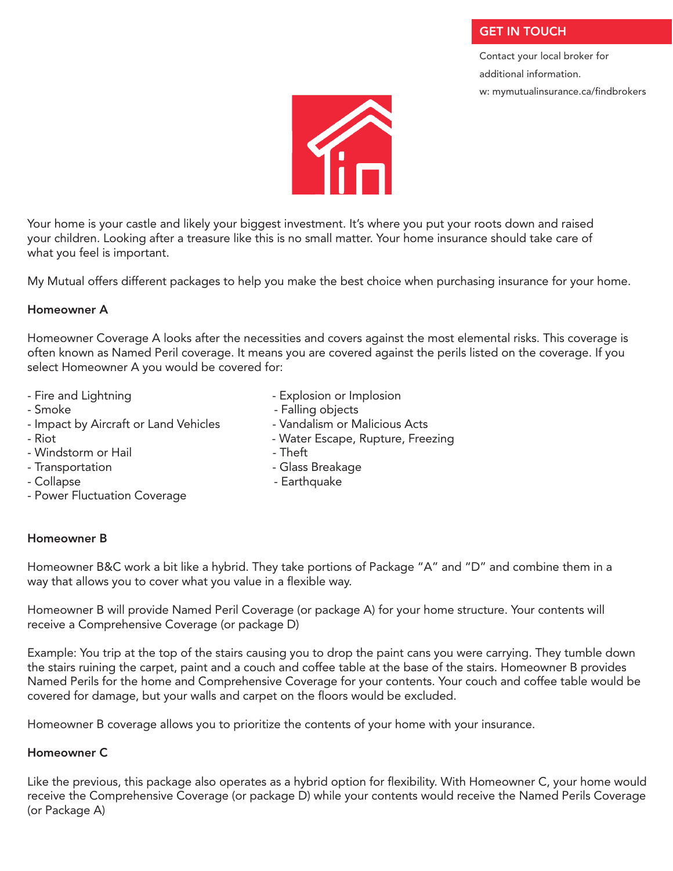# **GET IN TOUCH**

Contact your local broker for additional information. w: mymutualinsurance.ca/findbrokers



Your home is your castle and likely your biggest investment. It's where you put your roots down and raised your children. Looking after a treasure like this is no small matter. Your home insurance should take care of what you feel is important.

My Mutual offers different packages to help you make the best choice when purchasing insurance for your home.

### Homeowner A

Homeowner Coverage A looks after the necessities and covers against the most elemental risks. This coverage is often known as Named Peril coverage. It means you are covered against the perils listed on the coverage. If you select Homeowner A you would be covered for:

- 
- 
- Impact by Aircraft or Land Vehicles Vandalism or Malicious Acts
- 
- Windstorm or Hail **Fig. 2018** Theft
- 
- 
- Power Fluctuation Coverage
- Fire and Lightning Explosion or Implosion -
- Smoke Falling objects
	-
- Riot  **Water Escape, Rupture, Freezing** 
	-
- Transportation and a Glass Breakage
- Collapse and Collapse and Collapse and Collapse and Collapse and Collapse and Collapse

# Homeowner B

Homeowner B&C work a bit like a hybrid. They take portions of Package "A" and "D" and combine them in a way that allows you to cover what you value in a flexible way.

Homeowner B will provide Named Peril Coverage (or package A) for your home structure. Your contents will receive a Comprehensive Coverage (or package D)

Example: You trip at the top of the stairs causing you to drop the paint cans you were carrying. They tumble down the stairs ruining the carpet, paint and a couch and coffee table at the base of the stairs. Homeowner B provides Named Perils for the home and Comprehensive Coverage for your contents. Your couch and coffee table would be covered for damage, but your walls and carpet on the floors would be excluded.

Homeowner B coverage allows you to prioritize the contents of your home with your insurance.

# Homeowner C

Like the previous, this package also operates as a hybrid option for flexibility. With Homeowner C, your home would receive the Comprehensive Coverage (or package D) while your contents would receive the Named Perils Coverage (or Package A)